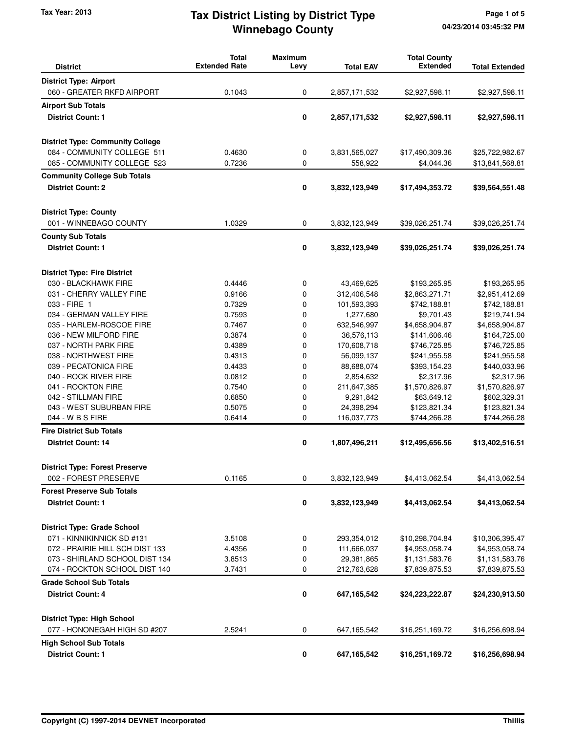# **Winnebago County** Tax Year: 2013 **Tax District Listing by District Type** Page 1 of 5

| <b>District</b>                         | <b>Total</b><br><b>Extended Rate</b> | <b>Maximum</b><br>Levy | <b>Total EAV</b> | <b>Total County</b><br><b>Extended</b> | <b>Total Extended</b> |
|-----------------------------------------|--------------------------------------|------------------------|------------------|----------------------------------------|-----------------------|
| <b>District Type: Airport</b>           |                                      |                        |                  |                                        |                       |
| 060 - GREATER RKFD AIRPORT              | 0.1043                               | 0                      | 2,857,171,532    | \$2,927,598.11                         | \$2,927,598.11        |
| <b>Airport Sub Totals</b>               |                                      |                        |                  |                                        |                       |
| <b>District Count: 1</b>                |                                      | 0                      | 2,857,171,532    | \$2,927,598.11                         | \$2,927,598.11        |
|                                         |                                      |                        |                  |                                        |                       |
| <b>District Type: Community College</b> |                                      |                        |                  |                                        |                       |
| 084 - COMMUNITY COLLEGE 511             | 0.4630                               | 0                      | 3,831,565,027    | \$17,490,309.36                        | \$25,722,982.67       |
| 085 - COMMUNITY COLLEGE 523             | 0.7236                               | 0                      | 558,922          | \$4,044.36                             | \$13,841,568.81       |
| <b>Community College Sub Totals</b>     |                                      |                        |                  |                                        |                       |
| <b>District Count: 2</b>                |                                      | 0                      | 3,832,123,949    | \$17,494,353.72                        | \$39,564,551.48       |
| <b>District Type: County</b>            |                                      |                        |                  |                                        |                       |
| 001 - WINNEBAGO COUNTY                  | 1.0329                               | 0                      | 3,832,123,949    | \$39,026,251.74                        | \$39,026,251.74       |
| <b>County Sub Totals</b>                |                                      |                        |                  |                                        |                       |
| <b>District Count: 1</b>                |                                      | 0                      | 3,832,123,949    | \$39,026,251.74                        | \$39,026,251.74       |
| <b>District Type: Fire District</b>     |                                      |                        |                  |                                        |                       |
| 030 - BLACKHAWK FIRE                    | 0.4446                               | 0                      | 43,469,625       | \$193,265.95                           | \$193,265.95          |
| 031 - CHERRY VALLEY FIRE                | 0.9166                               | 0                      | 312,406,548      | \$2,863,271.71                         | \$2,951,412.69        |
| 033 - FIRE 1                            | 0.7329                               | 0                      | 101,593,393      | \$742,188.81                           | \$742,188.81          |
| 034 - GERMAN VALLEY FIRE                | 0.7593                               | 0                      | 1,277,680        | \$9,701.43                             | \$219,741.94          |
| 035 - HARLEM-ROSCOE FIRE                | 0.7467                               | 0                      | 632,546,997      | \$4,658,904.87                         | \$4,658,904.87        |
| 036 - NEW MILFORD FIRE                  | 0.3874                               | 0                      | 36,576,113       | \$141,606.46                           | \$164,725.00          |
| 037 - NORTH PARK FIRE                   | 0.4389                               | 0                      | 170,608,718      | \$746,725.85                           | \$746,725.85          |
| 038 - NORTHWEST FIRE                    | 0.4313                               | 0                      | 56,099,137       | \$241,955.58                           | \$241,955.58          |
| 039 - PECATONICA FIRE                   | 0.4433                               | 0                      | 88,688,074       | \$393,154.23                           | \$440,033.96          |
| 040 - ROCK RIVER FIRE                   | 0.0812                               | 0                      | 2,854,632        | \$2,317.96                             | \$2,317.96            |
| 041 - ROCKTON FIRE                      | 0.7540                               | 0                      | 211,647,385      | \$1,570,826.97                         | \$1,570,826.97        |
| 042 - STILLMAN FIRE                     | 0.6850                               | 0                      | 9,291,842        | \$63,649.12                            | \$602,329.31          |
| 043 - WEST SUBURBAN FIRE                | 0.5075                               | 0                      | 24,398,294       | \$123,821.34                           | \$123,821.34          |
| 044 - W B S FIRE                        | 0.6414                               | 0                      | 116,037,773      | \$744,266.28                           | \$744,266.28          |
| <b>Fire District Sub Totals</b>         |                                      |                        |                  |                                        |                       |
| <b>District Count: 14</b>               |                                      | 0                      | 1,807,496,211    | \$12,495,656.56                        | \$13,402,516.51       |
| <b>District Type: Forest Preserve</b>   |                                      |                        |                  |                                        |                       |
| 002 - FOREST PRESERVE                   | 0.1165                               | 0                      | 3,832,123,949    | \$4,413,062.54                         | \$4,413,062.54        |
| <b>Forest Preserve Sub Totals</b>       |                                      |                        |                  |                                        |                       |
| <b>District Count: 1</b>                |                                      | $\pmb{0}$              | 3,832,123,949    | \$4,413,062.54                         | \$4,413,062.54        |
| <b>District Type: Grade School</b>      |                                      |                        |                  |                                        |                       |
| 071 - KINNIKINNICK SD #131              | 3.5108                               | 0                      | 293,354,012      | \$10,298,704.84                        | \$10,306,395.47       |
| 072 - PRAIRIE HILL SCH DIST 133         | 4.4356                               | 0                      | 111,666,037      | \$4,953,058.74                         | \$4,953,058.74        |
| 073 - SHIRLAND SCHOOL DIST 134          | 3.8513                               | 0                      | 29,381,865       | \$1,131,583.76                         | \$1,131,583.76        |
| 074 - ROCKTON SCHOOL DIST 140           | 3.7431                               | 0                      | 212,763,628      | \$7,839,875.53                         | \$7,839,875.53        |
| <b>Grade School Sub Totals</b>          |                                      |                        |                  |                                        |                       |
| <b>District Count: 4</b>                |                                      | 0                      | 647,165,542      | \$24,223,222.87                        | \$24,230,913.50       |
| <b>District Type: High School</b>       |                                      |                        |                  |                                        |                       |
| 077 - HONONEGAH HIGH SD #207            | 2.5241                               | 0                      | 647, 165, 542    | \$16,251,169.72                        | \$16,256,698.94       |
| <b>High School Sub Totals</b>           |                                      |                        |                  |                                        |                       |
| <b>District Count: 1</b>                |                                      | 0                      | 647,165,542      | \$16,251,169.72                        | \$16,256,698.94       |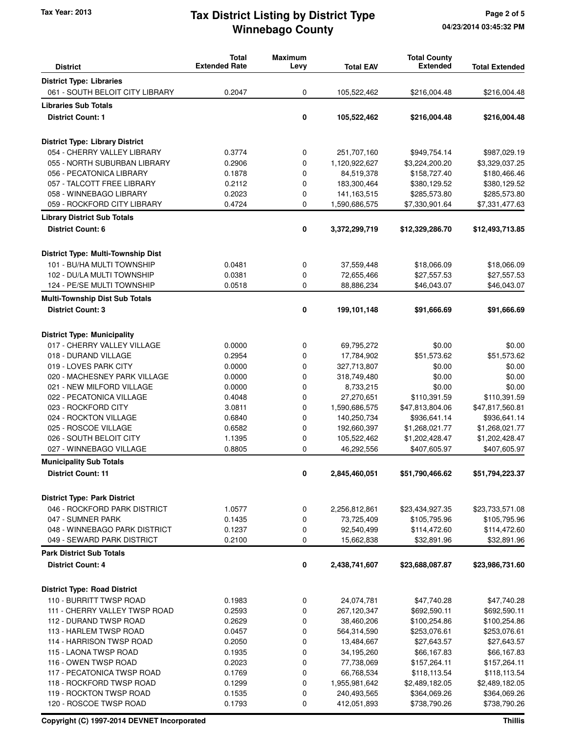# **Winnebago County** Tax Year: 2013 **Tax District Listing by District Type** Page 2 of 5

| <b>District</b>                           | <b>Total</b><br><b>Extended Rate</b> | <b>Maximum</b><br>Levy | <b>Total EAV</b> | <b>Total County</b><br><b>Extended</b> | <b>Total Extended</b> |
|-------------------------------------------|--------------------------------------|------------------------|------------------|----------------------------------------|-----------------------|
| <b>District Type: Libraries</b>           |                                      |                        |                  |                                        |                       |
| 061 - SOUTH BELOIT CITY LIBRARY           | 0.2047                               | 0                      | 105,522,462      | \$216,004.48                           | \$216,004.48          |
|                                           |                                      |                        |                  |                                        |                       |
| <b>Libraries Sub Totals</b>               |                                      |                        |                  |                                        |                       |
| <b>District Count: 1</b>                  |                                      | 0                      | 105,522,462      | \$216,004.48                           | \$216,004.48          |
| <b>District Type: Library District</b>    |                                      |                        |                  |                                        |                       |
| 054 - CHERRY VALLEY LIBRARY               | 0.3774                               | 0                      | 251,707,160      | \$949,754.14                           | \$987,029.19          |
| 055 - NORTH SUBURBAN LIBRARY              | 0.2906                               | 0                      | 1,120,922,627    | \$3,224,200.20                         | \$3,329,037.25        |
| 056 - PECATONICA LIBRARY                  | 0.1878                               | 0                      | 84,519,378       | \$158,727.40                           | \$180,466.46          |
| 057 - TALCOTT FREE LIBRARY                | 0.2112                               | 0                      | 183,300,464      | \$380,129.52                           | \$380,129.52          |
| 058 - WINNEBAGO LIBRARY                   | 0.2023                               | 0                      | 141, 163, 515    | \$285,573.80                           | \$285,573.80          |
| 059 - ROCKFORD CITY LIBRARY               | 0.4724                               | 0                      | 1,590,686,575    | \$7,330,901.64                         | \$7,331,477.63        |
| <b>Library District Sub Totals</b>        |                                      |                        |                  |                                        |                       |
| <b>District Count: 6</b>                  |                                      | 0                      | 3,372,299,719    | \$12,329,286.70                        | \$12,493,713.85       |
| <b>District Type: Multi-Township Dist</b> |                                      |                        |                  |                                        |                       |
| 101 - BU/HA MULTI TOWNSHIP                | 0.0481                               | 0                      | 37,559,448       | \$18,066.09                            | \$18,066.09           |
| 102 - DU/LA MULTI TOWNSHIP                | 0.0381                               | 0                      | 72,655,466       | \$27,557.53                            | \$27,557.53           |
| 124 - PE/SE MULTI TOWNSHIP                | 0.0518                               | 0                      | 88,886,234       | \$46,043.07                            | \$46,043.07           |
| <b>Multi-Township Dist Sub Totals</b>     |                                      |                        |                  |                                        |                       |
| <b>District Count: 3</b>                  |                                      | 0                      | 199,101,148      | \$91,666.69                            | \$91,666.69           |
| <b>District Type: Municipality</b>        |                                      |                        |                  |                                        |                       |
| 017 - CHERRY VALLEY VILLAGE               | 0.0000                               | 0                      | 69,795,272       | \$0.00                                 | \$0.00                |
| 018 - DURAND VILLAGE                      | 0.2954                               | 0                      | 17,784,902       | \$51,573.62                            | \$51,573.62           |
| 019 - LOVES PARK CITY                     | 0.0000                               | 0                      | 327,713,807      | \$0.00                                 | \$0.00                |
| 020 - MACHESNEY PARK VILLAGE              | 0.0000                               | 0                      | 318,749,480      | \$0.00                                 | \$0.00                |
| 021 - NEW MILFORD VILLAGE                 | 0.0000                               | 0                      | 8,733,215        | \$0.00                                 | \$0.00                |
| 022 - PECATONICA VILLAGE                  | 0.4048                               | 0                      | 27,270,651       | \$110,391.59                           | \$110,391.59          |
| 023 - ROCKFORD CITY                       | 3.0811                               | 0                      | 1,590,686,575    | \$47,813,804.06                        | \$47,817,560.81       |
| 024 - ROCKTON VILLAGE                     | 0.6840                               | 0                      | 140,250,734      | \$936,641.14                           | \$936,641.14          |
| 025 - ROSCOE VILLAGE                      | 0.6582                               | 0                      | 192,660,397      | \$1,268,021.77                         | \$1,268,021.77        |
| 026 - SOUTH BELOIT CITY                   | 1.1395                               | 0                      | 105,522,462      | \$1,202,428.47                         | \$1,202,428.47        |
| 027 - WINNEBAGO VILLAGE                   | 0.8805                               | 0                      | 46,292,556       | \$407,605.97                           | \$407,605.97          |
| <b>Municipality Sub Totals</b>            |                                      |                        |                  |                                        |                       |
| <b>District Count: 11</b>                 |                                      | 0                      | 2,845,460,051    | \$51,790,466.62                        | \$51,794,223.37       |
| <b>District Type: Park District</b>       |                                      |                        |                  |                                        |                       |
| 046 - ROCKFORD PARK DISTRICT              | 1.0577                               | 0                      | 2,256,812,861    | \$23,434,927.35                        | \$23,733,571.08       |
| 047 - SUMNER PARK                         | 0.1435                               | 0                      | 73,725,409       | \$105,795.96                           | \$105,795.96          |
| 048 - WINNEBAGO PARK DISTRICT             | 0.1237                               | 0                      | 92,540,499       | \$114,472.60                           | \$114,472.60          |
| 049 - SEWARD PARK DISTRICT                | 0.2100                               | 0                      | 15,662,838       | \$32,891.96                            | \$32,891.96           |
| <b>Park District Sub Totals</b>           |                                      |                        |                  |                                        |                       |
| <b>District Count: 4</b>                  |                                      | 0                      | 2,438,741,607    | \$23,688,087.87                        | \$23,986,731.60       |
| <b>District Type: Road District</b>       |                                      |                        |                  |                                        |                       |
| 110 - BURRITT TWSP ROAD                   | 0.1983                               | 0                      | 24,074,781       | \$47,740.28                            | \$47,740.28           |
| 111 - CHERRY VALLEY TWSP ROAD             | 0.2593                               | 0                      | 267,120,347      | \$692,590.11                           | \$692,590.11          |
| 112 - DURAND TWSP ROAD                    | 0.2629                               | 0                      | 38,460,206       | \$100,254.86                           | \$100,254.86          |
| 113 - HARLEM TWSP ROAD                    | 0.0457                               | 0                      | 564,314,590      | \$253,076.61                           | \$253,076.61          |
| 114 - HARRISON TWSP ROAD                  | 0.2050                               | 0                      | 13,484,667       | \$27,643.57                            | \$27,643.57           |
| 115 - LAONA TWSP ROAD                     | 0.1935                               | 0                      | 34,195,260       | \$66,167.83                            | \$66,167.83           |
| 116 - OWEN TWSP ROAD                      | 0.2023                               | 0                      | 77,738,069       | \$157,264.11                           | \$157,264.11          |
| 117 - PECATONICA TWSP ROAD                | 0.1769                               | 0                      | 66,768,534       | \$118,113.54                           | \$118,113.54          |
| 118 - ROCKFORD TWSP ROAD                  | 0.1299                               | 0                      | 1,955,981,642    | \$2,489,182.05                         | \$2,489,182.05        |
| 119 - ROCKTON TWSP ROAD                   | 0.1535                               | 0                      | 240,493,565      | \$364,069.26                           | \$364,069.26          |
| 120 - ROSCOE TWSP ROAD                    | 0.1793                               | 0                      | 412,051,893      | \$738,790.26                           | \$738,790.26          |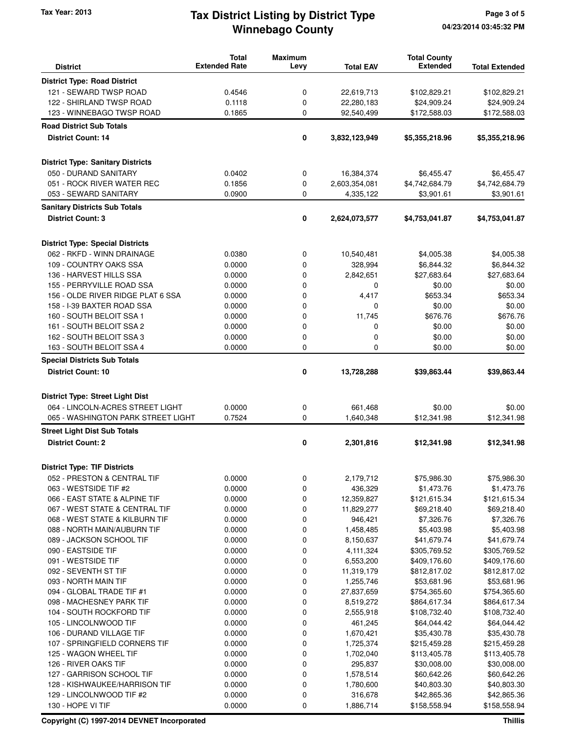# **Winnebago County** Tax Year: 2013 **Tax District Listing by District Type** Page 3 of 5

| <b>District</b>                                                  | <b>Total</b><br><b>Extended Rate</b> | <b>Maximum</b><br>Levy | <b>Total EAV</b>           | <b>Total County</b><br><b>Extended</b> | <b>Total Extended</b>        |
|------------------------------------------------------------------|--------------------------------------|------------------------|----------------------------|----------------------------------------|------------------------------|
| <b>District Type: Road District</b>                              |                                      |                        |                            |                                        |                              |
| 121 - SEWARD TWSP ROAD                                           | 0.4546                               | 0                      | 22,619,713                 | \$102,829.21                           | \$102,829.21                 |
| 122 - SHIRLAND TWSP ROAD                                         | 0.1118                               | 0                      | 22,280,183                 | \$24,909.24                            | \$24,909.24                  |
| 123 - WINNEBAGO TWSP ROAD                                        | 0.1865                               | 0                      | 92,540,499                 | \$172,588.03                           | \$172,588.03                 |
| <b>Road District Sub Totals</b>                                  |                                      |                        |                            |                                        |                              |
| <b>District Count: 14</b>                                        |                                      | 0                      | 3,832,123,949              | \$5,355,218.96                         | \$5,355,218.96               |
| <b>District Type: Sanitary Districts</b>                         |                                      |                        |                            |                                        |                              |
| 050 - DURAND SANITARY                                            | 0.0402                               | 0                      | 16,384,374                 | \$6,455.47                             | \$6,455.47                   |
| 051 - ROCK RIVER WATER REC                                       | 0.1856                               | 0                      | 2,603,354,081              | \$4,742,684.79                         | \$4,742,684.79               |
| 053 - SEWARD SANITARY                                            | 0.0900                               | 0                      | 4,335,122                  | \$3,901.61                             | \$3,901.61                   |
| <b>Sanitary Districts Sub Totals</b>                             |                                      |                        |                            |                                        |                              |
| <b>District Count: 3</b>                                         |                                      | 0                      | 2,624,073,577              | \$4,753,041.87                         | \$4,753,041.87               |
| <b>District Type: Special Districts</b>                          |                                      |                        |                            |                                        |                              |
| 062 - RKFD - WINN DRAINAGE                                       | 0.0380                               | 0                      | 10,540,481                 | \$4,005.38                             | \$4,005.38                   |
| 109 - COUNTRY OAKS SSA                                           | 0.0000                               | 0                      | 328,994                    | \$6,844.32                             | \$6,844.32                   |
| 136 - HARVEST HILLS SSA                                          | 0.0000                               | 0                      | 2,842,651                  | \$27,683.64                            | \$27,683.64                  |
| 155 - PERRYVILLE ROAD SSA                                        | 0.0000                               | 0                      | 0                          | \$0.00                                 | \$0.00                       |
| 156 - OLDE RIVER RIDGE PLAT 6 SSA                                | 0.0000                               | 0                      | 4,417                      | \$653.34                               | \$653.34                     |
| 158 - I-39 BAXTER ROAD SSA                                       | 0.0000                               | 0                      | $\mathbf 0$                | \$0.00                                 | \$0.00                       |
| 160 - SOUTH BELOIT SSA 1                                         | 0.0000                               | 0                      | 11,745                     | \$676.76                               | \$676.76                     |
| 161 - SOUTH BELOIT SSA 2                                         | 0.0000                               | $\mathbf 0$            | 0                          | \$0.00                                 | \$0.00                       |
| 162 - SOUTH BELOIT SSA 3<br>163 - SOUTH BELOIT SSA 4             | 0.0000<br>0.0000                     | 0<br>0                 | $\mathbf 0$<br>$\mathbf 0$ | \$0.00<br>\$0.00                       | \$0.00<br>\$0.00             |
|                                                                  |                                      |                        |                            |                                        |                              |
| <b>Special Districts Sub Totals</b><br><b>District Count: 10</b> |                                      | 0                      | 13,728,288                 | \$39,863.44                            | \$39,863.44                  |
| <b>District Type: Street Light Dist</b>                          |                                      |                        |                            |                                        |                              |
| 064 - LINCOLN-ACRES STREET LIGHT                                 | 0.0000                               | 0                      | 661,468                    | \$0.00                                 | \$0.00                       |
| 065 - WASHINGTON PARK STREET LIGHT                               | 0.7524                               | 0                      | 1,640,348                  | \$12,341.98                            | \$12,341.98                  |
| <b>Street Light Dist Sub Totals</b>                              |                                      |                        |                            |                                        |                              |
| <b>District Count: 2</b>                                         |                                      | 0                      | 2,301,816                  | \$12,341.98                            | \$12,341.98                  |
| <b>District Type: TIF Districts</b>                              |                                      |                        |                            |                                        |                              |
| 052 - PRESTON & CENTRAL TIF                                      | 0.0000                               | 0                      | 2,179,712                  | \$75,986.30                            | \$75,986.30                  |
| 063 - WESTSIDE TIF #2                                            | 0.0000                               | 0                      | 436,329                    | \$1,473.76                             | \$1,473.76                   |
| 066 - EAST STATE & ALPINE TIF                                    | 0.0000                               | 0                      | 12,359,827                 | \$121,615.34                           | \$121,615.34                 |
| 067 - WEST STATE & CENTRAL TIF                                   | 0.0000                               | 0                      | 11,829,277                 | \$69,218.40                            | \$69,218.40                  |
| 068 - WEST STATE & KILBURN TIF                                   | 0.0000                               | 0                      | 946,421                    | \$7,326.76                             | \$7,326.76                   |
| 088 - NORTH MAIN/AUBURN TIF                                      | 0.0000                               | 0                      | 1,458,485                  | \$5,403.98                             | \$5,403.98                   |
| 089 - JACKSON SCHOOL TIF                                         | 0.0000                               | 0                      | 8,150,637                  | \$41,679.74                            | \$41,679.74                  |
| 090 - EASTSIDE TIF                                               | 0.0000                               | 0                      | 4,111,324                  | \$305,769.52                           | \$305,769.52                 |
| 091 - WESTSIDE TIF                                               | 0.0000                               | 0                      | 6,553,200                  | \$409,176.60                           | \$409,176.60                 |
| 092 - SEVENTH ST TIF                                             | 0.0000                               | 0                      | 11,319,179                 | \$812,817.02                           | \$812,817.02                 |
| 093 - NORTH MAIN TIF                                             | 0.0000                               | 0                      | 1,255,746                  | \$53,681.96                            | \$53,681.96                  |
| 094 - GLOBAL TRADE TIF #1                                        | 0.0000                               | 0                      | 27,837,659                 | \$754,365.60                           | \$754,365.60                 |
| 098 - MACHESNEY PARK TIF<br>104 - SOUTH ROCKFORD TIF             | 0.0000<br>0.0000                     | 0<br>0                 | 8,519,272<br>2,555,918     | \$864,617.34<br>\$108,732.40           | \$864,617.34<br>\$108,732.40 |
| 105 - LINCOLNWOOD TIF                                            | 0.0000                               | 0                      | 461,245                    | \$64,044.42                            | \$64,044.42                  |
| 106 - DURAND VILLAGE TIF                                         | 0.0000                               | 0                      | 1,670,421                  | \$35,430.78                            | \$35,430.78                  |
| 107 - SPRINGFIELD CORNERS TIF                                    | 0.0000                               | 0                      | 1,725,374                  | \$215,459.28                           | \$215,459.28                 |
| 125 - WAGON WHEEL TIF                                            | 0.0000                               | 0                      | 1,702,040                  | \$113,405.78                           | \$113,405.78                 |
| 126 - RIVER OAKS TIF                                             | 0.0000                               | 0                      | 295,837                    | \$30,008.00                            | \$30,008.00                  |
| 127 - GARRISON SCHOOL TIF                                        | 0.0000                               | 0                      | 1,578,514                  | \$60,642.26                            | \$60,642.26                  |
| 128 - KISHWAUKEE/HARRISON TIF                                    | 0.0000                               | 0                      | 1,780,600                  | \$40,803.30                            | \$40,803.30                  |
| 129 - LINCOLNWOOD TIF #2                                         | 0.0000                               | 0                      | 316,678                    | \$42,865.36                            | \$42,865.36                  |
| 130 - HOPE VI TIF                                                | 0.0000                               | 0                      | 1,886,714                  | \$158,558.94                           | \$158,558.94                 |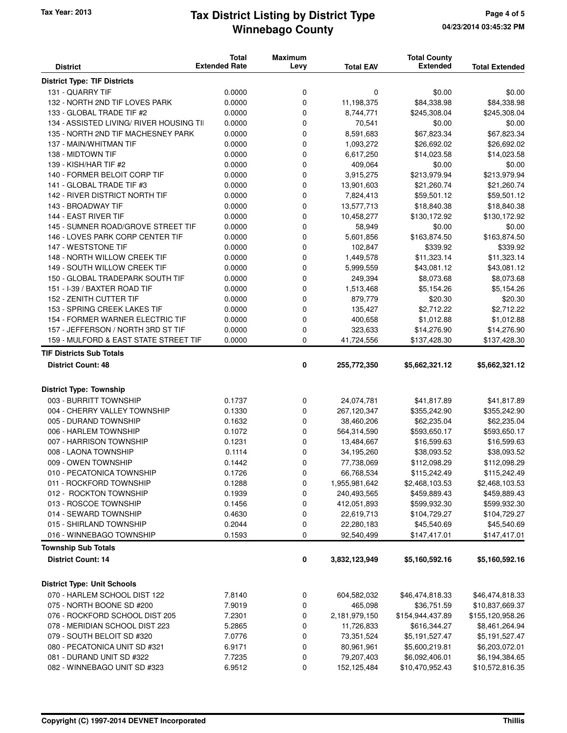# **Winnebago County** Tax Year: 2013 **Tax District Listing by District Type** Page 4 of 5

| <b>District</b>                                     | <b>Total</b><br><b>Extended Rate</b> | <b>Maximum</b><br>Levy | <b>Total EAV</b>         | <b>Total County</b><br><b>Extended</b> | <b>Total Extended</b>       |
|-----------------------------------------------------|--------------------------------------|------------------------|--------------------------|----------------------------------------|-----------------------------|
| <b>District Type: TIF Districts</b>                 |                                      |                        |                          |                                        |                             |
| 131 - QUARRY TIF                                    | 0.0000                               | 0                      | 0                        | \$0.00                                 | \$0.00                      |
| 132 - NORTH 2ND TIF LOVES PARK                      | 0.0000                               | $\mathbf 0$            | 11,198,375               | \$84,338.98                            | \$84,338.98                 |
| 133 - GLOBAL TRADE TIF #2                           | 0.0000                               | 0                      | 8,744,771                | \$245,308.04                           | \$245,308.04                |
| 134 - ASSISTED LIVING/ RIVER HOUSING TII            | 0.0000                               | 0                      | 70,541                   | \$0.00                                 | \$0.00                      |
| 135 - NORTH 2ND TIF MACHESNEY PARK                  | 0.0000                               | 0                      | 8,591,683                | \$67,823.34                            | \$67,823.34                 |
| 137 - MAIN/WHITMAN TIF                              | 0.0000                               | $\mathbf 0$            | 1,093,272                | \$26,692.02                            | \$26,692.02                 |
| 138 - MIDTOWN TIF                                   | 0.0000                               | $\mathbf 0$            | 6,617,250                | \$14,023.58                            | \$14,023.58                 |
| 139 - KISH/HAR TIF #2                               | 0.0000                               | 0                      | 409,064                  | \$0.00                                 | \$0.00                      |
| 140 - FORMER BELOIT CORP TIF                        | 0.0000                               | $\mathbf 0$            | 3,915,275                | \$213,979.94                           | \$213,979.94                |
| 141 - GLOBAL TRADE TIF #3                           | 0.0000                               | 0                      | 13,901,603               | \$21,260.74                            | \$21,260.74                 |
| 142 - RIVER DISTRICT NORTH TIF                      | 0.0000                               | 0                      | 7,824,413                | \$59,501.12                            | \$59,501.12                 |
| 143 - BROADWAY TIF                                  | 0.0000                               | 0                      | 13,577,713               | \$18,840.38                            | \$18,840.38                 |
| 144 - EAST RIVER TIF                                | 0.0000                               | $\mathbf 0$            | 10,458,277               | \$130,172.92                           | \$130,172.92                |
| 145 - SUMNER ROAD/GROVE STREET TIF                  | 0.0000                               | 0                      | 58,949                   | \$0.00                                 | \$0.00                      |
| 146 - LOVES PARK CORP CENTER TIF                    | 0.0000                               | 0                      | 5,601,856                | \$163,874.50                           | \$163,874.50                |
| 147 - WESTSTONE TIF                                 | 0.0000                               | $\mathbf 0$            | 102,847                  | \$339.92                               | \$339.92                    |
| 148 - NORTH WILLOW CREEK TIF                        | 0.0000                               | 0                      | 1,449,578                | \$11,323.14                            | \$11,323.14                 |
| 149 - SOUTH WILLOW CREEK TIF                        | 0.0000                               | 0                      | 5,999,559                | \$43,081.12                            | \$43,081.12                 |
| 150 - GLOBAL TRADEPARK SOUTH TIF                    | 0.0000                               | 0                      | 249,394                  | \$8,073.68                             | \$8,073.68                  |
| 151 - I-39 / BAXTER ROAD TIF                        | 0.0000                               | $\mathbf 0$            | 1,513,468                | \$5,154.26                             | \$5,154.26                  |
| 152 - ZENITH CUTTER TIF                             | 0.0000                               | 0                      | 879,779                  | \$20.30                                | \$20.30                     |
| 153 - SPRING CREEK LAKES TIF                        | 0.0000                               | 0                      | 135,427                  | \$2,712.22                             | \$2,712.22                  |
| 154 - FORMER WARNER ELECTRIC TIF                    | 0.0000                               | $\mathbf 0$            | 400,658                  | \$1,012.88                             | \$1,012.88                  |
| 157 - JEFFERSON / NORTH 3RD ST TIF                  | 0.0000                               | 0                      | 323,633                  | \$14,276.90                            | \$14,276.90                 |
| 159 - MULFORD & EAST STATE STREET TIF               | 0.0000                               | $\mathbf 0$            | 41,724,556               | \$137,428.30                           | \$137,428.30                |
| <b>TIF Districts Sub Totals</b>                     |                                      |                        |                          |                                        |                             |
| <b>District Count: 48</b>                           |                                      | 0                      | 255,772,350              | \$5,662,321.12                         | \$5,662,321.12              |
| <b>District Type: Township</b>                      |                                      |                        |                          |                                        |                             |
| 003 - BURRITT TOWNSHIP                              | 0.1737                               | 0                      | 24,074,781               | \$41,817.89                            | \$41,817.89                 |
| 004 - CHERRY VALLEY TOWNSHIP                        | 0.1330                               | 0                      | 267,120,347              | \$355,242.90                           | \$355,242.90                |
| 005 - DURAND TOWNSHIP                               | 0.1632                               | 0                      | 38,460,206               | \$62,235.04                            | \$62,235.04                 |
| 006 - HARLEM TOWNSHIP                               | 0.1072                               | 0                      | 564,314,590              | \$593,650.17                           | \$593,650.17                |
| 007 - HARRISON TOWNSHIP                             | 0.1231                               | 0                      | 13,484,667               | \$16,599.63                            | \$16,599.63                 |
| 008 - LAONA TOWNSHIP                                | 0.1114                               | 0                      | 34,195,260               | \$38,093.52                            | \$38,093.52                 |
| 009 - OWEN TOWNSHIP                                 | 0.1442                               | $\mathbf 0$            | 77,738,069               |                                        | \$112,098.29                |
| 010 - PECATONICA TOWNSHIP                           | 0.1726                               | 0                      |                          | \$112,098.29                           | \$115,242.49                |
|                                                     |                                      |                        | 66,768,534               | \$115,242.49                           |                             |
| 011 - ROCKFORD TOWNSHIP                             | 0.1288                               | 0                      | 1,955,981,642            | \$2,468,103.53                         | \$2,468,103.53              |
| 012 - ROCKTON TOWNSHIP                              | 0.1939                               | 0                      | 240,493,565              | \$459,889.43                           | \$459,889.43                |
| 013 - ROSCOE TOWNSHIP                               | 0.1456                               | 0                      | 412,051,893              | \$599,932.30                           | \$599,932.30                |
| 014 - SEWARD TOWNSHIP                               | 0.4630                               | 0                      | 22,619,713               | \$104,729.27                           | \$104,729.27                |
| 015 - SHIRLAND TOWNSHIP<br>016 - WINNEBAGO TOWNSHIP | 0.2044<br>0.1593                     | 0<br>0                 | 22,280,183<br>92,540,499 | \$45,540.69<br>\$147,417.01            | \$45,540.69<br>\$147,417.01 |
| <b>Township Sub Totals</b>                          |                                      |                        |                          |                                        |                             |
| <b>District Count: 14</b>                           |                                      | 0                      | 3,832,123,949            | \$5,160,592.16                         | \$5,160,592.16              |
|                                                     |                                      |                        |                          |                                        |                             |
| <b>District Type: Unit Schools</b>                  |                                      |                        |                          |                                        |                             |
| 070 - HARLEM SCHOOL DIST 122                        | 7.8140                               | 0                      | 604,582,032              | \$46,474,818.33                        | \$46,474,818.33             |
| 075 - NORTH BOONE SD #200                           | 7.9019                               | 0                      | 465,098                  | \$36,751.59                            | \$10,837,669.37             |
| 076 - ROCKFORD SCHOOL DIST 205                      | 7.2301                               | 0                      | 2,181,979,150            | \$154,944,437.89                       | \$155,120,958.26            |
| 078 - MERIDIAN SCHOOL DIST 223                      | 5.2865                               | 0                      | 11,726,833               | \$616,344.27                           | \$8,461,264.94              |
| 079 - SOUTH BELOIT SD #320                          | 7.0776                               | 0                      | 73,351,524               | \$5,191,527.47                         | \$5,191,527.47              |
| 080 - PECATONICA UNIT SD #321                       | 6.9171                               | 0                      | 80,961,961               | \$5,600,219.81                         | \$6,203,072.01              |
| 081 - DURAND UNIT SD #322                           | 7.7235                               | 0                      | 79,207,403               | \$6,092,406.01                         | \$6,194,384.65              |
| 082 - WINNEBAGO UNIT SD #323                        | 6.9512                               | 0                      | 152,125,484              | \$10,470,952.43                        | \$10,572,816.35             |